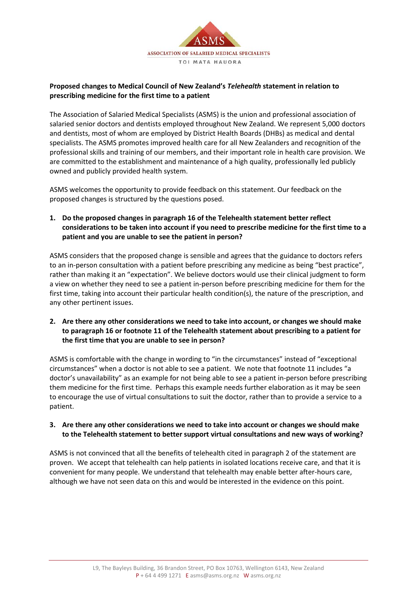

## **Proposed changes to Medical Council of New Zealand's** *Telehealth* **statement in relation to prescribing medicine for the first time to a patient**

The Association of Salaried Medical Specialists (ASMS) is the union and professional association of salaried senior doctors and dentists employed throughout New Zealand. We represent 5,000 doctors and dentists, most of whom are employed by District Health Boards (DHBs) as medical and dental specialists. The ASMS promotes improved health care for all New Zealanders and recognition of the professional skills and training of our members, and their important role in health care provision. We are committed to the establishment and maintenance of a high quality, professionally led publicly owned and publicly provided health system.

ASMS welcomes the opportunity to provide feedback on this statement. Our feedback on the proposed changes is structured by the questions posed.

**1. Do the proposed changes in paragraph 16 of the Telehealth statement better reflect considerations to be taken into account if you need to prescribe medicine for the first time to a patient and you are unable to see the patient in person?** 

ASMS considers that the proposed change is sensible and agrees that the guidance to doctors refers to an in-person consultation with a patient before prescribing any medicine as being "best practice", rather than making it an "expectation". We believe doctors would use their clinical judgment to form a view on whether they need to see a patient in-person before prescribing medicine for them for the first time, taking into account their particular health condition(s), the nature of the prescription, and any other pertinent issues.

**2. Are there any other considerations we need to take into account, or changes we should make to paragraph 16 or footnote 11 of the Telehealth statement about prescribing to a patient for the first time that you are unable to see in person?** 

ASMS is comfortable with the change in wording to "in the circumstances" instead of "exceptional circumstances" when a doctor is not able to see a patient. We note that footnote 11 includes "a doctor's unavailability" as an example for not being able to see a patient in-person before prescribing them medicine for the first time. Perhaps this example needs further elaboration as it may be seen to encourage the use of virtual consultations to suit the doctor, rather than to provide a service to a patient.

**3. Are there any other considerations we need to take into account or changes we should make to the Telehealth statement to better support virtual consultations and new ways of working?** 

ASMS is not convinced that all the benefits of telehealth cited in paragraph 2 of the statement are proven. We accept that telehealth can help patients in isolated locations receive care, and that it is convenient for many people. We understand that telehealth may enable better after-hours care, although we have not seen data on this and would be interested in the evidence on this point.